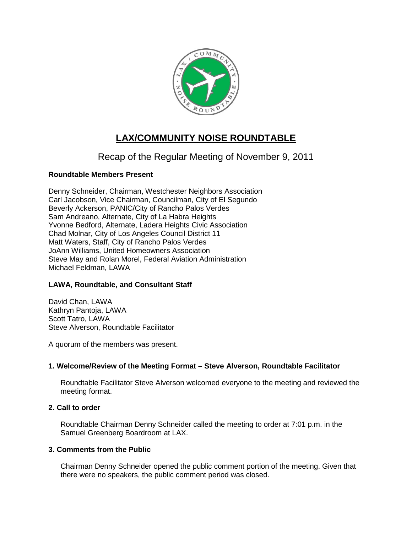

# **LAX/COMMUNITY NOISE ROUNDTABLE**

Recap of the Regular Meeting of November 9, 2011

## **Roundtable Members Present**

Denny Schneider, Chairman, Westchester Neighbors Association Carl Jacobson, Vice Chairman, Councilman, City of El Segundo Beverly Ackerson, PANIC/City of Rancho Palos Verdes Sam Andreano, Alternate, City of La Habra Heights Yvonne Bedford, Alternate, Ladera Heights Civic Association Chad Molnar, City of Los Angeles Council District 11 Matt Waters, Staff, City of Rancho Palos Verdes JoAnn Williams, United Homeowners Association Steve May and Rolan Morel, Federal Aviation Administration Michael Feldman, LAWA

## **LAWA, Roundtable, and Consultant Staff**

David Chan, LAWA Kathryn Pantoja, LAWA Scott Tatro, LAWA Steve Alverson, Roundtable Facilitator

A quorum of the members was present.

## **1. Welcome/Review of the Meeting Format – Steve Alverson, Roundtable Facilitator**

Roundtable Facilitator Steve Alverson welcomed everyone to the meeting and reviewed the meeting format.

#### **2. Call to order**

Roundtable Chairman Denny Schneider called the meeting to order at 7:01 p.m. in the Samuel Greenberg Boardroom at LAX.

#### **3. Comments from the Public**

Chairman Denny Schneider opened the public comment portion of the meeting. Given that there were no speakers, the public comment period was closed.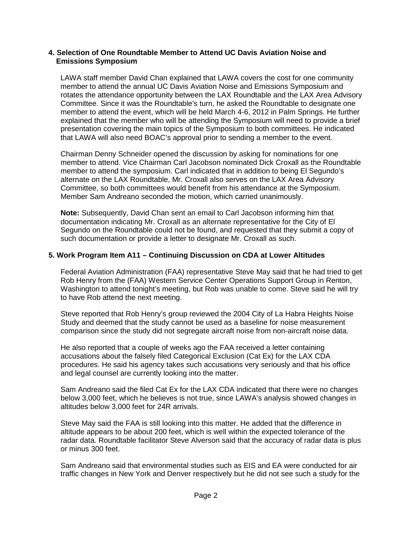#### **4. Selection of One Roundtable Member to Attend UC Davis Aviation Noise and Emissions Symposium**

LAWA staff member David Chan explained that LAWA covers the cost for one community member to attend the annual UC Davis Aviation Noise and Emissions Symposium and rotates the attendance opportunity between the LAX Roundtable and the LAX Area Advisory Committee. Since it was the Roundtable's turn, he asked the Roundtable to designate one member to attend the event, which will be held March 4-6, 2012 in Palm Springs. He further explained that the member who will be attending the Symposium will need to provide a brief presentation covering the main topics of the Symposium to both committees. He indicated that LAWA will also need BOAC's approval prior to sending a member to the event.

Chairman Denny Schneider opened the discussion by asking for nominations for one member to attend. Vice Chairman Carl Jacobson nominated Dick Croxall as the Roundtable member to attend the symposium. Carl indicated that in addition to being El Segundo's alternate on the LAX Roundtable, Mr. Croxall also serves on the LAX Area Advisory Committee, so both committees would benefit from his attendance at the Symposium. Member Sam Andreano seconded the motion, which carried unanimously.

**Note:** Subsequently, David Chan sent an email to Carl Jacobson informing him that documentation indicating Mr. Croxall as an alternate representative for the City of El Segundo on the Roundtable could not be found, and requested that they submit a copy of such documentation or provide a letter to designate Mr. Croxall as such.

## **5. Work Program Item A11 – Continuing Discussion on CDA at Lower Altitudes**

Federal Aviation Administration (FAA) representative Steve May said that he had tried to get Rob Henry from the (FAA) Western Service Center Operations Support Group in Renton, Washington to attend tonight's meeting, but Rob was unable to come. Steve said he will try to have Rob attend the next meeting.

Steve reported that Rob Henry's group reviewed the 2004 City of La Habra Heights Noise Study and deemed that the study cannot be used as a baseline for noise measurement comparison since the study did not segregate aircraft noise from non-aircraft noise data.

He also reported that a couple of weeks ago the FAA received a letter containing accusations about the falsely filed Categorical Exclusion (Cat Ex) for the LAX CDA procedures. He said his agency takes such accusations very seriously and that his office and legal counsel are currently looking into the matter.

Sam Andreano said the filed Cat Ex for the LAX CDA indicated that there were no changes below 3,000 feet, which he believes is not true, since LAWA's analysis showed changes in altitudes below 3,000 feet for 24R arrivals.

Steve May said the FAA is still looking into this matter. He added that the difference in altitude appears to be about 200 feet, which is well within the expected tolerance of the radar data. Roundtable facilitator Steve Alverson said that the accuracy of radar data is plus or minus 300 feet.

Sam Andreano said that environmental studies such as EIS and EA were conducted for air traffic changes in New York and Denver respectively but he did not see such a study for the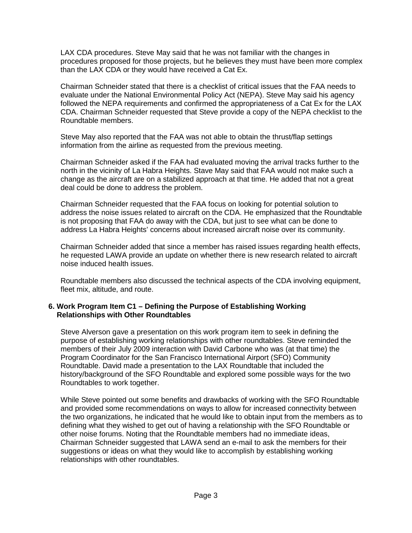LAX CDA procedures. Steve May said that he was not familiar with the changes in procedures proposed for those projects, but he believes they must have been more complex than the LAX CDA or they would have received a Cat Ex.

Chairman Schneider stated that there is a checklist of critical issues that the FAA needs to evaluate under the National Environmental Policy Act (NEPA). Steve May said his agency followed the NEPA requirements and confirmed the appropriateness of a Cat Ex for the LAX CDA. Chairman Schneider requested that Steve provide a copy of the NEPA checklist to the Roundtable members.

Steve May also reported that the FAA was not able to obtain the thrust/flap settings information from the airline as requested from the previous meeting.

Chairman Schneider asked if the FAA had evaluated moving the arrival tracks further to the north in the vicinity of La Habra Heights. Stave May said that FAA would not make such a change as the aircraft are on a stabilized approach at that time. He added that not a great deal could be done to address the problem.

Chairman Schneider requested that the FAA focus on looking for potential solution to address the noise issues related to aircraft on the CDA. He emphasized that the Roundtable is not proposing that FAA do away with the CDA, but just to see what can be done to address La Habra Heights' concerns about increased aircraft noise over its community.

Chairman Schneider added that since a member has raised issues regarding health effects, he requested LAWA provide an update on whether there is new research related to aircraft noise induced health issues.

Roundtable members also discussed the technical aspects of the CDA involving equipment, fleet mix, altitude, and route.

#### **6. Work Program Item C1 – Defining the Purpose of Establishing Working Relationships with Other Roundtables**

Steve Alverson gave a presentation on this work program item to seek in defining the purpose of establishing working relationships with other roundtables. Steve reminded the members of their July 2009 interaction with David Carbone who was (at that time) the Program Coordinator for the San Francisco International Airport (SFO) Community Roundtable. David made a presentation to the LAX Roundtable that included the history/background of the SFO Roundtable and explored some possible ways for the two Roundtables to work together.

While Steve pointed out some benefits and drawbacks of working with the SFO Roundtable and provided some recommendations on ways to allow for increased connectivity between the two organizations, he indicated that he would like to obtain input from the members as to defining what they wished to get out of having a relationship with the SFO Roundtable or other noise forums. Noting that the Roundtable members had no immediate ideas, Chairman Schneider suggested that LAWA send an e-mail to ask the members for their suggestions or ideas on what they would like to accomplish by establishing working relationships with other roundtables.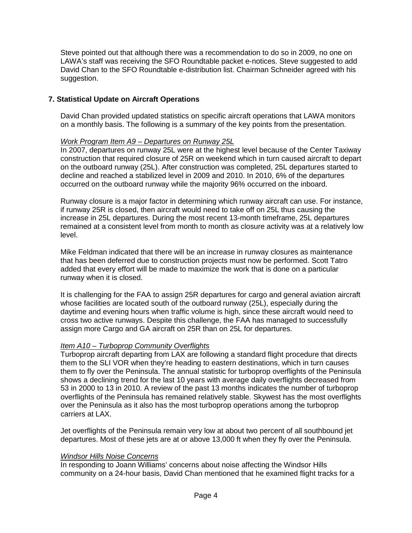Steve pointed out that although there was a recommendation to do so in 2009, no one on LAWA's staff was receiving the SFO Roundtable packet e-notices. Steve suggested to add David Chan to the SFO Roundtable e-distribution list. Chairman Schneider agreed with his suggestion.

## **7. Statistical Update on Aircraft Operations**

David Chan provided updated statistics on specific aircraft operations that LAWA monitors on a monthly basis. The following is a summary of the key points from the presentation.

#### *Work Program Item A9 – Departures on Runway 25L*

In 2007, departures on runway 25L were at the highest level because of the Center Taxiway construction that required closure of 25R on weekend which in turn caused aircraft to depart on the outboard runway (25L). After construction was completed, 25L departures started to decline and reached a stabilized level in 2009 and 2010. In 2010, 6% of the departures occurred on the outboard runway while the majority 96% occurred on the inboard.

Runway closure is a major factor in determining which runway aircraft can use. For instance, if runway 25R is closed, then aircraft would need to take off on 25L thus causing the increase in 25L departures. During the most recent 13-month timeframe, 25L departures remained at a consistent level from month to month as closure activity was at a relatively low level.

Mike Feldman indicated that there will be an increase in runway closures as maintenance that has been deferred due to construction projects must now be performed. Scott Tatro added that every effort will be made to maximize the work that is done on a particular runway when it is closed.

It is challenging for the FAA to assign 25R departures for cargo and general aviation aircraft whose facilities are located south of the outboard runway (25L), especially during the daytime and evening hours when traffic volume is high, since these aircraft would need to cross two active runways. Despite this challenge, the FAA has managed to successfully assign more Cargo and GA aircraft on 25R than on 25L for departures.

#### *Item A10 – Turboprop Community Overflights*

Turboprop aircraft departing from LAX are following a standard flight procedure that directs them to the SLI VOR when they're heading to eastern destinations, which in turn causes them to fly over the Peninsula. The annual statistic for turboprop overflights of the Peninsula shows a declining trend for the last 10 years with average daily overflights decreased from 53 in 2000 to 13 in 2010. A review of the past 13 months indicates the number of turboprop overflights of the Peninsula has remained relatively stable. Skywest has the most overflights over the Peninsula as it also has the most turboprop operations among the turboprop carriers at LAX.

Jet overflights of the Peninsula remain very low at about two percent of all southbound jet departures. Most of these jets are at or above 13,000 ft when they fly over the Peninsula.

#### *Windsor Hills Noise Concerns*

In responding to Joann Williams' concerns about noise affecting the Windsor Hills community on a 24-hour basis, David Chan mentioned that he examined flight tracks for a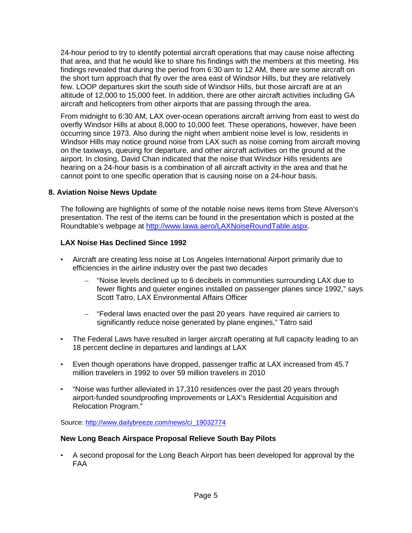24-hour period to try to identify potential aircraft operations that may cause noise affecting that area, and that he would like to share his findings with the members at this meeting. His findings revealed that during the period from 6:30 am to 12 AM, there are some aircraft on the short turn approach that fly over the area east of Windsor Hills, but they are relatively few. LOOP departures skirt the south side of Windsor Hills, but those aircraft are at an altitude of 12,000 to 15,000 feet. In addition, there are other aircraft activities including GA aircraft and helicopters from other airports that are passing through the area.

From midnight to 6:30 AM, LAX over-ocean operations aircraft arriving from east to west do overfly Windsor Hills at about 8,000 to 10,000 feet. These operations, however, have been occurring since 1973. Also during the night when ambient noise level is low, residents in Windsor Hills may notice ground noise from LAX such as noise coming from aircraft moving on the taxiways, queuing for departure, and other aircraft activities on the ground at the airport. In closing, David Chan indicated that the noise that Windsor Hills residents are hearing on a 24-hour basis is a combination of all aircraft activity in the area and that he cannot point to one specific operation that is causing noise on a 24-hour basis.

## **8. Aviation Noise News Update**

The following are highlights of some of the notable noise news items from Steve Alverson's presentation. The rest of the items can be found in the presentation which is posted at the Roundtable's webpage at [http://www.lawa.aero/LAXNoiseRoundTable.aspx.](http://www.lawa.aero/LAXNoiseRoundTable.aspx)

## **LAX Noise Has Declined Since 1992**

- Aircraft are creating less noise at Los Angeles International Airport primarily due to efficiencies in the airline industry over the past two decades
	- "Noise levels declined up to 6 decibels in communities surrounding LAX due to fewer flights and quieter engines installed on passenger planes since 1992," says Scott Tatro, LAX Environmental Affairs Officer
	- "Federal laws enacted over the past 20 years have required air carriers to significantly reduce noise generated by plane engines," Tatro said
- The Federal Laws have resulted in larger aircraft operating at full capacity leading to an 18 percent decline in departures and landings at LAX
- Even though operations have dropped, passenger traffic at LAX increased from 45.7 million travelers in 1992 to over 59 million travelers in 2010
- "Noise was further alleviated in 17,310 residences over the past 20 years through airport-funded soundproofing improvements or LAX's Residential Acquisition and Relocation Program."

Source: [http://www.dailybreeze.com/news/ci\\_19032774](http://www.dailybreeze.com/news/ci_19032774)

#### **New Long Beach Airspace Proposal Relieve South Bay Pilots**

• A second proposal for the Long Beach Airport has been developed for approval by the FAA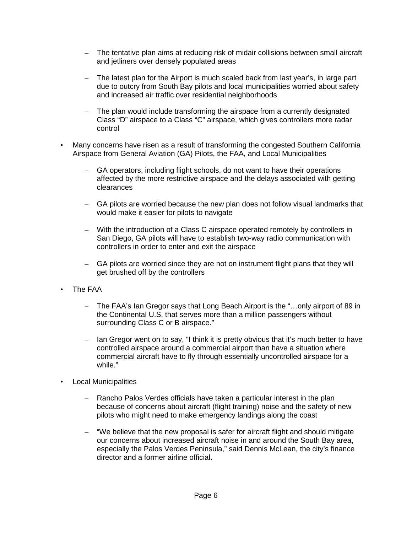- The tentative plan aims at reducing risk of midair collisions between small aircraft and jetliners over densely populated areas
- The latest plan for the Airport is much scaled back from last year's, in large part due to outcry from South Bay pilots and local municipalities worried about safety and increased air traffic over residential neighborhoods
- The plan would include transforming the airspace from a currently designated Class "D" airspace to a Class "C" airspace, which gives controllers more radar control
- Many concerns have risen as a result of transforming the congested Southern California Airspace from General Aviation (GA) Pilots, the FAA, and Local Municipalities
	- GA operators, including flight schools, do not want to have their operations affected by the more restrictive airspace and the delays associated with getting clearances
	- GA pilots are worried because the new plan does not follow visual landmarks that would make it easier for pilots to navigate
	- With the introduction of a Class C airspace operated remotely by controllers in San Diego, GA pilots will have to establish two-way radio communication with controllers in order to enter and exit the airspace
	- GA pilots are worried since they are not on instrument flight plans that they will get brushed off by the controllers
- The FAA
	- The FAA's Ian Gregor says that Long Beach Airport is the "…only airport of 89 in the Continental U.S. that serves more than a million passengers without surrounding Class C or B airspace."
	- Ian Gregor went on to say, "I think it is pretty obvious that it's much better to have controlled airspace around a commercial airport than have a situation where commercial aircraft have to fly through essentially uncontrolled airspace for a while."
- Local Municipalities
	- Rancho Palos Verdes officials have taken a particular interest in the plan because of concerns about aircraft (flight training) noise and the safety of new pilots who might need to make emergency landings along the coast
	- "We believe that the new proposal is safer for aircraft flight and should mitigate our concerns about increased aircraft noise in and around the South Bay area, especially the Palos Verdes Peninsula," said Dennis McLean, the city's finance director and a former airline official.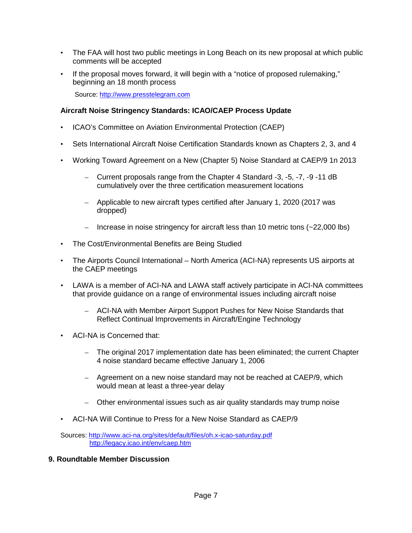- The FAA will host two public meetings in Long Beach on its new proposal at which public comments will be accepted
- If the proposal moves forward, it will begin with a "notice of proposed rulemaking," beginning an 18 month process

Source: [http://www.presstelegram.com](http://www.presstelegram.com/)

## **Aircraft Noise Stringency Standards: ICAO/CAEP Process Update**

- ICAO's Committee on Aviation Environmental Protection (CAEP)
- Sets International Aircraft Noise Certification Standards known as Chapters 2, 3, and 4
- Working Toward Agreement on a New (Chapter 5) Noise Standard at CAEP/9 1n 2013
	- Current proposals range from the Chapter 4 Standard -3, -5, -7, -9 -11 dB cumulatively over the three certification measurement locations
	- Applicable to new aircraft types certified after January 1, 2020 (2017 was dropped)
	- Increase in noise stringency for aircraft less than 10 metric tons (~22,000 lbs)
- The Cost/Environmental Benefits are Being Studied
- The Airports Council International North America (ACI-NA) represents US airports at the CAEP meetings
- LAWA is a member of ACI-NA and LAWA staff actively participate in ACI-NA committees that provide guidance on a range of environmental issues including aircraft noise
	- ACI-NA with Member Airport Support Pushes for New Noise Standards that Reflect Continual Improvements in Aircraft/Engine Technology
- ACI-NA is Concerned that:
	- The original 2017 implementation date has been eliminated; the current Chapter 4 noise standard became effective January 1, 2006
	- Agreement on a new noise standard may not be reached at CAEP/9, which would mean at least a three-year delay
	- Other environmental issues such as air quality standards may trump noise
- ACI-NA Will Continue to Press for a New Noise Standard as CAEP/9

Sources:<http://www.aci-na.org/sites/default/files/oh.x-icao-saturday.pdf> <http://legacy.icao.int/env/caep.htm>

### **9. Roundtable Member Discussion**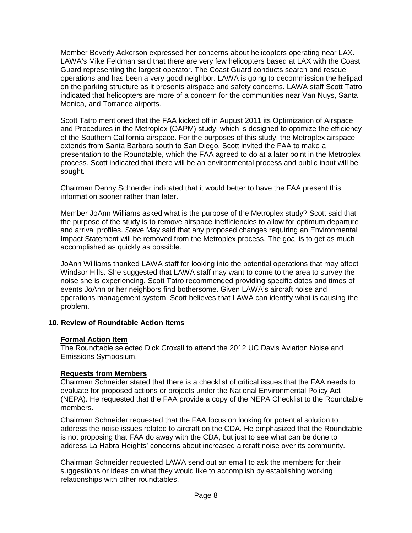Member Beverly Ackerson expressed her concerns about helicopters operating near LAX. LAWA's Mike Feldman said that there are very few helicopters based at LAX with the Coast Guard representing the largest operator. The Coast Guard conducts search and rescue operations and has been a very good neighbor. LAWA is going to decommission the helipad on the parking structure as it presents airspace and safety concerns. LAWA staff Scott Tatro indicated that helicopters are more of a concern for the communities near Van Nuys, Santa Monica, and Torrance airports.

Scott Tatro mentioned that the FAA kicked off in August 2011 its Optimization of Airspace and Procedures in the Metroplex (OAPM) study, which is designed to optimize the efficiency of the Southern California airspace. For the purposes of this study, the Metroplex airspace extends from Santa Barbara south to San Diego. Scott invited the FAA to make a presentation to the Roundtable, which the FAA agreed to do at a later point in the Metroplex process. Scott indicated that there will be an environmental process and public input will be sought.

Chairman Denny Schneider indicated that it would better to have the FAA present this information sooner rather than later.

Member JoAnn Williams asked what is the purpose of the Metroplex study? Scott said that the purpose of the study is to remove airspace inefficiencies to allow for optimum departure and arrival profiles. Steve May said that any proposed changes requiring an Environmental Impact Statement will be removed from the Metroplex process. The goal is to get as much accomplished as quickly as possible.

JoAnn Williams thanked LAWA staff for looking into the potential operations that may affect Windsor Hills. She suggested that LAWA staff may want to come to the area to survey the noise she is experiencing. Scott Tatro recommended providing specific dates and times of events JoAnn or her neighbors find bothersome. Given LAWA's aircraft noise and operations management system, Scott believes that LAWA can identify what is causing the problem.

#### **10. Review of Roundtable Action Items**

#### **Formal Action Item**

The Roundtable selected Dick Croxall to attend the 2012 UC Davis Aviation Noise and Emissions Symposium.

## **Requests from Members**

Chairman Schneider stated that there is a checklist of critical issues that the FAA needs to evaluate for proposed actions or projects under the National Environmental Policy Act (NEPA). He requested that the FAA provide a copy of the NEPA Checklist to the Roundtable members.

Chairman Schneider requested that the FAA focus on looking for potential solution to address the noise issues related to aircraft on the CDA. He emphasized that the Roundtable is not proposing that FAA do away with the CDA, but just to see what can be done to address La Habra Heights' concerns about increased aircraft noise over its community.

Chairman Schneider requested LAWA send out an email to ask the members for their suggestions or ideas on what they would like to accomplish by establishing working relationships with other roundtables.